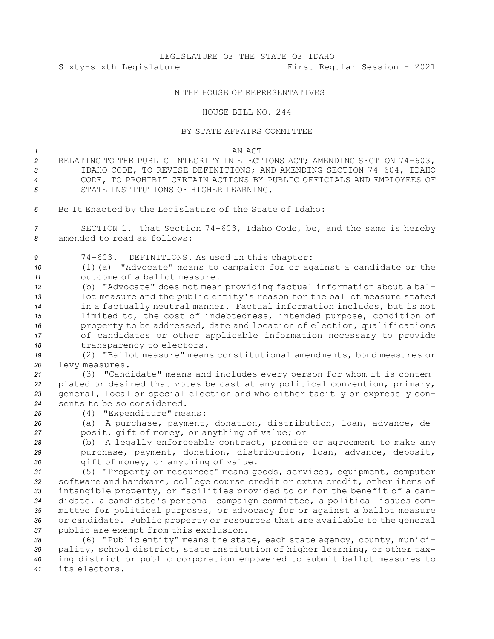# LEGISLATURE OF THE STATE OF IDAHO Sixty-sixth Legislature First Regular Session - 2021

## IN THE HOUSE OF REPRESENTATIVES

### HOUSE BILL NO. 244

### BY STATE AFFAIRS COMMITTEE

### *1* AN ACT

- *<sup>2</sup>* RELATING TO THE PUBLIC INTEGRITY IN ELECTIONS ACT; AMENDING SECTION 74-603, *<sup>3</sup>* IDAHO CODE, TO REVISE DEFINITIONS; AND AMENDING SECTION 74-604, IDAHO *4* CODE, TO PROHIBIT CERTAIN ACTIONS BY PUBLIC OFFICIALS AND EMPLOYEES OF *5* STATE INSTITUTIONS OF HIGHER LEARNING.
- *<sup>6</sup>* Be It Enacted by the Legislature of the State of Idaho:

*<sup>7</sup>* SECTION 1. That Section 74-603, Idaho Code, be, and the same is hereby *8* amended to read as follows:

*<sup>9</sup>* 74-603. DEFINITIONS. As used in this chapter:

*<sup>10</sup>* (1)(a) "Advocate" means to campaign for or against <sup>a</sup> candidate or the *11* outcome of a ballot measure.

 (b) "Advocate" does not mean providing factual information about <sup>a</sup> bal- lot measure and the public entity's reason for the ballot measure stated in <sup>a</sup> factually neutral manner. Factual information includes, but is not limited to, the cost of indebtedness, intended purpose, condition of property to be addressed, date and location of election, qualifications of candidates or other applicable information necessary to provide 18 transparency to electors.

*<sup>19</sup>* (2) "Ballot measure" means constitutional amendments, bond measures or *<sup>20</sup>* levy measures.

 (3) "Candidate" means and includes every person for whom it is contem- plated or desired that votes be cast at any political convention, primary, general, local or special election and who either tacitly or expressly con-sents to be so considered.

*<sup>25</sup>* (4) "Expenditure" means:

*<sup>26</sup>* (a) <sup>A</sup> purchase, payment, donation, distribution, loan, advance, de-*<sup>27</sup>* posit, gift of money, or anything of value; or

*<sup>28</sup>* (b) <sup>A</sup> legally enforceable contract, promise or agreement to make any *<sup>29</sup>* purchase, payment, donation, distribution, loan, advance, deposit, *<sup>30</sup>* gift of money, or anything of value.

 (5) "Property or resources" means goods, services, equipment, computer software and hardware, college course credit or extra credit, other items of intangible property, or facilities provided to or for the benefit of <sup>a</sup> can- didate, <sup>a</sup> candidate's personal campaign committee, <sup>a</sup> political issues com- mittee for political purposes, or advocacy for or against <sup>a</sup> ballot measure or candidate. Public property or resources that are available to the general public are exempt from this exclusion.

 (6) "Public entity" means the state, each state agency, county, munici- pality, school district, state institution of higher learning, or other tax- ing district or public corporation empowered to submit ballot measures to its electors.